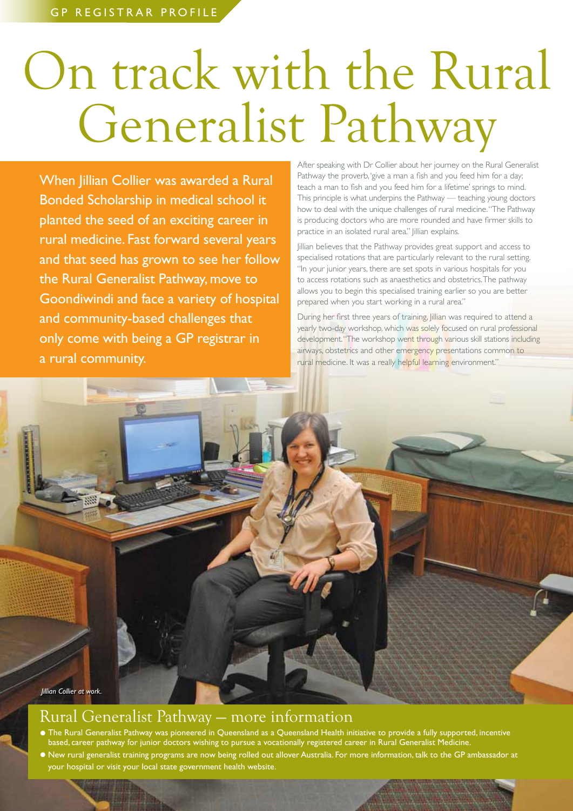## On track with the Rural Generalist Pathway

When Jillian Collier was awarded a Rural Bonded Scholarship in medical school it planted the seed of an exciting career in rural medicine. Fast forward several years and that seed has grown to see her follow the Rural Generalist Pathway, move to Goondiwindi and face a variety of hospital and community-based challenges that only come with being a GP registrar in a rural community.

After speaking with Dr Collier about her journey on the Rural Generalist Pathway the proverb, 'give a man a fish and you feed him for a day; teach a man to fish and you feed him for a lifetime' springs to mind. This principle is what underpins the Pathway — teaching young doctors how to deal with the unique challenges of rural medicine. "The Pathway is producing doctors who are more rounded and have firmer skills to practice in an isolated rural area." | illian explains.

Jillian believes that the Pathway provides great support and access to specialised rotations that are particularly relevant to the rural setting. "In your junior years, there are set spots in various hospitals for you to access rotations such as anaesthetics and obstetrics. The pathway allows you to begin this specialised training earlier so you are better prepared when you start working in a rural area."

During her first three years of training, Jillian was required to attend a yearly two-day workshop, which was solely focused on rural professional development. "The workshop went through various skill stations including airways, obstetrics and other emergency presentations common to rural medicine. It was a really helpful learning environment."

*Jillian Collier at work.*

## Rural Generalist Pathway — more information

- The Rural Generalist Pathway was pioneered in Queensland as a Queensland Health initiative to provide a fully supported, incentive based, career pathway for junior doctors wishing to pursue a vocationally registered career in Rural Generalist Medicine. • New rural generalist training programs are now being rolled out allover Australia. For more information, talk to the GP ambassador at
- your hospital or visit your local state government health website.